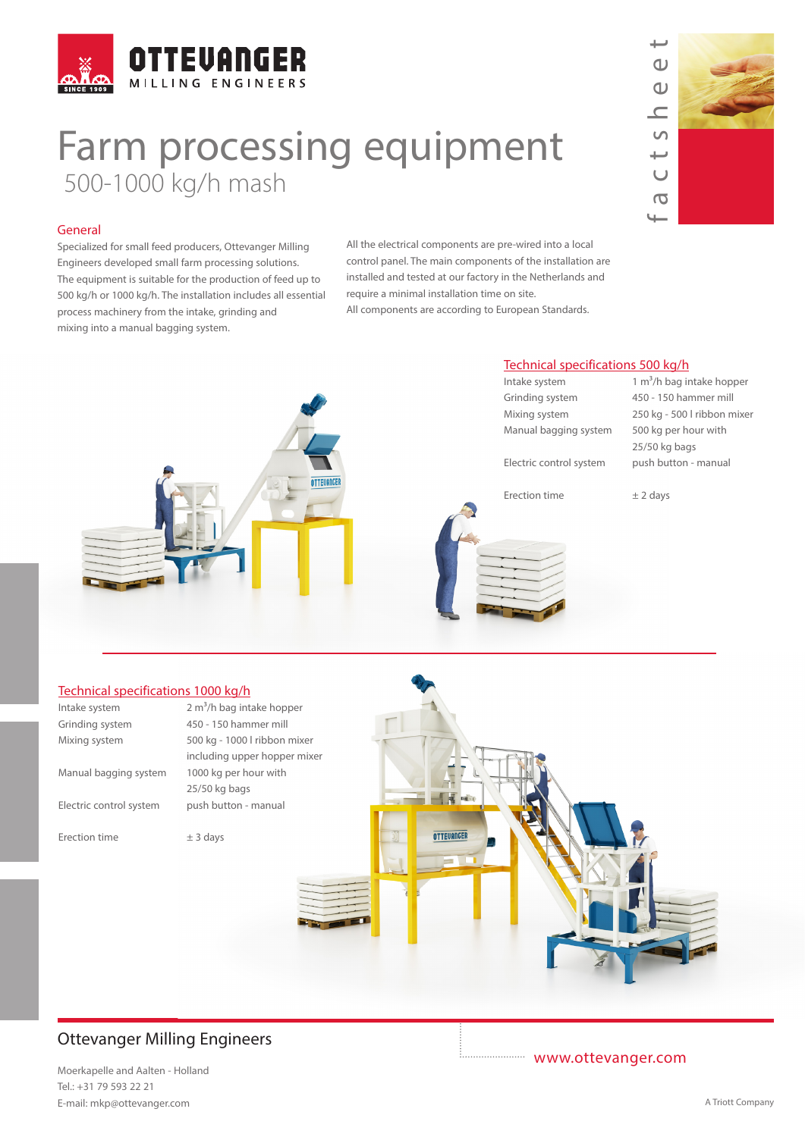

# Farm processing equipment 500-1000 kg/h mash

### General

Specialized for small feed producers, Ottevanger Milling Engineers developed small farm processing solutions. The equipment is suitable for the production of feed up to 500 kg/h or 1000 kg/h. The installation includes all essential process machinery from the intake, grinding and mixing into a manual bagging system.

All the electrical components are pre-wired into a local control panel. The main components of the installation are installed and tested at our factory in the Netherlands and require a minimal installation time on site. All components are according to European Standards.



#### Technical specifications 1000 kg/h

| Intake system           | 2 m <sup>3</sup> /h bag intake hopper |                   |  |
|-------------------------|---------------------------------------|-------------------|--|
| Grinding system         | 450 - 150 hammer mill                 |                   |  |
| Mixing system           | 500 kg - 1000 l ribbon mixer          |                   |  |
|                         | including upper hopper mixer          |                   |  |
| Manual bagging system   | 1000 kg per hour with                 |                   |  |
|                         | 25/50 kg bags                         |                   |  |
| Electric control system | push button - manual                  |                   |  |
|                         |                                       |                   |  |
| Erection time           | $±$ 3 days                            | <b>OTTEVANGER</b> |  |
|                         |                                       |                   |  |
|                         |                                       |                   |  |
|                         |                                       |                   |  |
|                         |                                       |                   |  |
|                         |                                       |                   |  |
|                         |                                       |                   |  |
|                         |                                       |                   |  |

## Ottevanger Milling Engineers

Moerkapelle and Aalten - Holland Tel.: +31 79 593 22 21 E-mail: mkp@ottevanger.com **A Triott Company** A Triott Company

www.ottevanger.com